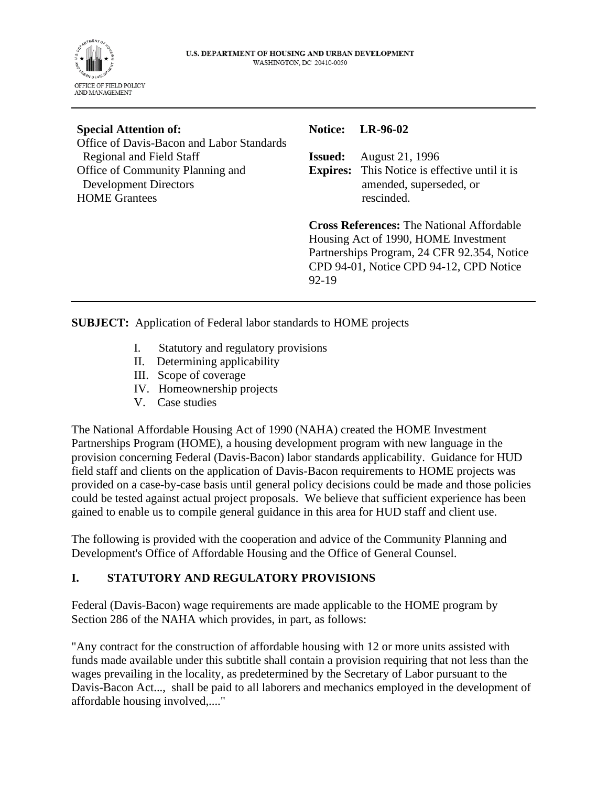

| <b>Special Attention of:</b>                                          |                | <b>Notice:</b> LR-96-02                                                         |
|-----------------------------------------------------------------------|----------------|---------------------------------------------------------------------------------|
| Office of Davis-Bacon and Labor Standards<br>Regional and Field Staff | <b>Issued:</b> | <b>August 21, 1996</b>                                                          |
| Office of Community Planning and<br><b>Development Directors</b>      |                | <b>Expires:</b> This Notice is effective until it is<br>amended, superseded, or |
| <b>HOME</b> Grantees                                                  |                | rescinded.                                                                      |
|                                                                       |                | <b>Cross References: The National Affordable</b>                                |

**Cross References:** The National Affordable Housing Act of 1990, HOME Investment Partnerships Program, 24 CFR 92.354, Notice CPD 94-01, Notice CPD 94-12, CPD Notice 92-19

**SUBJECT:** Application of Federal labor standards to HOME projects

- I. Statutory and regulatory provisions
- II. Determining applicability
- III. Scope of coverage
- IV. Homeownership projects
- V. Case studies

The National Affordable Housing Act of 1990 (NAHA) created the HOME Investment Partnerships Program (HOME), a housing development program with new language in the provision concerning Federal (Davis-Bacon) labor standards applicability. Guidance for HUD field staff and clients on the application of Davis-Bacon requirements to HOME projects was provided on a case-by-case basis until general policy decisions could be made and those policies could be tested against actual project proposals. We believe that sufficient experience has been gained to enable us to compile general guidance in this area for HUD staff and client use.

The following is provided with the cooperation and advice of the Community Planning and Development's Office of Affordable Housing and the Office of General Counsel.

## **I. STATUTORY AND REGULATORY PROVISIONS**

Federal (Davis-Bacon) wage requirements are made applicable to the HOME program by Section 286 of the NAHA which provides, in part, as follows:

"Any contract for the construction of affordable housing with 12 or more units assisted with funds made available under this subtitle shall contain a provision requiring that not less than the wages prevailing in the locality, as predetermined by the Secretary of Labor pursuant to the Davis-Bacon Act..., shall be paid to all laborers and mechanics employed in the development of affordable housing involved,...."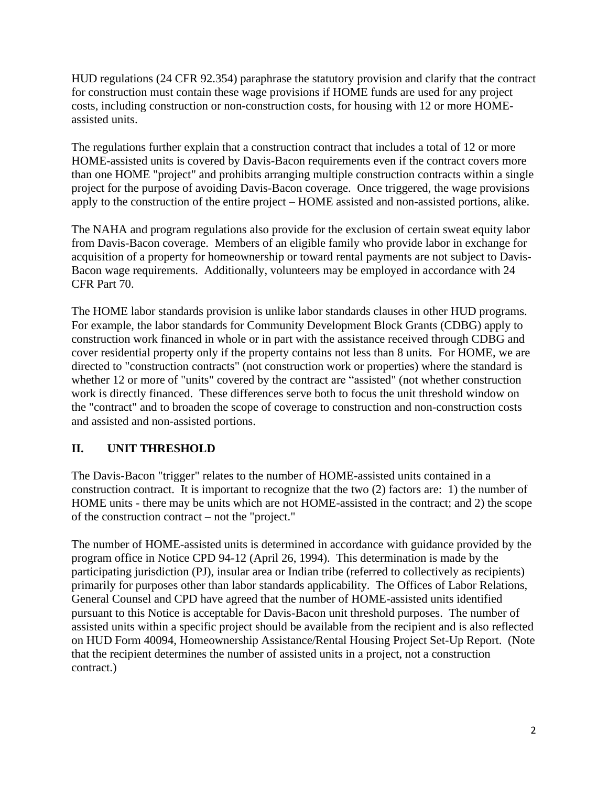HUD regulations (24 CFR 92.354) paraphrase the statutory provision and clarify that the contract for construction must contain these wage provisions if HOME funds are used for any project costs, including construction or non-construction costs, for housing with 12 or more HOMEassisted units.

The regulations further explain that a construction contract that includes a total of 12 or more HOME-assisted units is covered by Davis-Bacon requirements even if the contract covers more than one HOME "project" and prohibits arranging multiple construction contracts within a single project for the purpose of avoiding Davis-Bacon coverage. Once triggered, the wage provisions apply to the construction of the entire project – HOME assisted and non-assisted portions, alike.

The NAHA and program regulations also provide for the exclusion of certain sweat equity labor from Davis-Bacon coverage. Members of an eligible family who provide labor in exchange for acquisition of a property for homeownership or toward rental payments are not subject to Davis-Bacon wage requirements. Additionally, volunteers may be employed in accordance with 24 CFR Part 70.

The HOME labor standards provision is unlike labor standards clauses in other HUD programs. For example, the labor standards for Community Development Block Grants (CDBG) apply to construction work financed in whole or in part with the assistance received through CDBG and cover residential property only if the property contains not less than 8 units. For HOME, we are directed to "construction contracts" (not construction work or properties) where the standard is whether 12 or more of "units" covered by the contract are "assisted" (not whether construction work is directly financed. These differences serve both to focus the unit threshold window on the "contract" and to broaden the scope of coverage to construction and non-construction costs and assisted and non-assisted portions.

## **II. UNIT THRESHOLD**

The Davis-Bacon "trigger" relates to the number of HOME-assisted units contained in a construction contract. It is important to recognize that the two (2) factors are: 1) the number of HOME units - there may be units which are not HOME-assisted in the contract; and 2) the scope of the construction contract – not the "project."

The number of HOME-assisted units is determined in accordance with guidance provided by the program office in Notice CPD 94-12 (April 26, 1994). This determination is made by the participating jurisdiction (PJ), insular area or Indian tribe (referred to collectively as recipients) primarily for purposes other than labor standards applicability. The Offices of Labor Relations, General Counsel and CPD have agreed that the number of HOME-assisted units identified pursuant to this Notice is acceptable for Davis-Bacon unit threshold purposes. The number of assisted units within a specific project should be available from the recipient and is also reflected on HUD Form 40094, Homeownership Assistance/Rental Housing Project Set-Up Report. (Note that the recipient determines the number of assisted units in a project, not a construction contract.)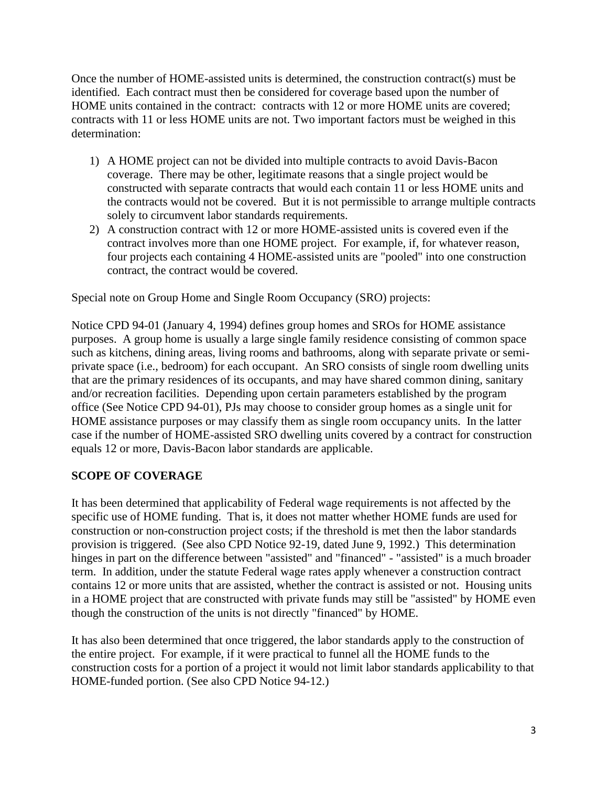Once the number of HOME-assisted units is determined, the construction contract(s) must be identified. Each contract must then be considered for coverage based upon the number of HOME units contained in the contract: contracts with 12 or more HOME units are covered; contracts with 11 or less HOME units are not. Two important factors must be weighed in this determination:

- 1) A HOME project can not be divided into multiple contracts to avoid Davis-Bacon coverage. There may be other, legitimate reasons that a single project would be constructed with separate contracts that would each contain 11 or less HOME units and the contracts would not be covered. But it is not permissible to arrange multiple contracts solely to circumvent labor standards requirements.
- 2) A construction contract with 12 or more HOME-assisted units is covered even if the contract involves more than one HOME project. For example, if, for whatever reason, four projects each containing 4 HOME-assisted units are "pooled" into one construction contract, the contract would be covered.

Special note on Group Home and Single Room Occupancy (SRO) projects:

Notice CPD 94-01 (January 4, 1994) defines group homes and SROs for HOME assistance purposes. A group home is usually a large single family residence consisting of common space such as kitchens, dining areas, living rooms and bathrooms, along with separate private or semiprivate space (i.e., bedroom) for each occupant. An SRO consists of single room dwelling units that are the primary residences of its occupants, and may have shared common dining, sanitary and/or recreation facilities. Depending upon certain parameters established by the program office (See Notice CPD 94-01), PJs may choose to consider group homes as a single unit for HOME assistance purposes or may classify them as single room occupancy units. In the latter case if the number of HOME-assisted SRO dwelling units covered by a contract for construction equals 12 or more, Davis-Bacon labor standards are applicable.

### **SCOPE OF COVERAGE**

It has been determined that applicability of Federal wage requirements is not affected by the specific use of HOME funding. That is, it does not matter whether HOME funds are used for construction or non-construction project costs; if the threshold is met then the labor standards provision is triggered. (See also CPD Notice 92-19, dated June 9, 1992.) This determination hinges in part on the difference between "assisted" and "financed" - "assisted" is a much broader term. In addition, under the statute Federal wage rates apply whenever a construction contract contains 12 or more units that are assisted, whether the contract is assisted or not. Housing units in a HOME project that are constructed with private funds may still be "assisted" by HOME even though the construction of the units is not directly "financed" by HOME.

It has also been determined that once triggered, the labor standards apply to the construction of the entire project. For example, if it were practical to funnel all the HOME funds to the construction costs for a portion of a project it would not limit labor standards applicability to that HOME-funded portion. (See also CPD Notice 94-12.)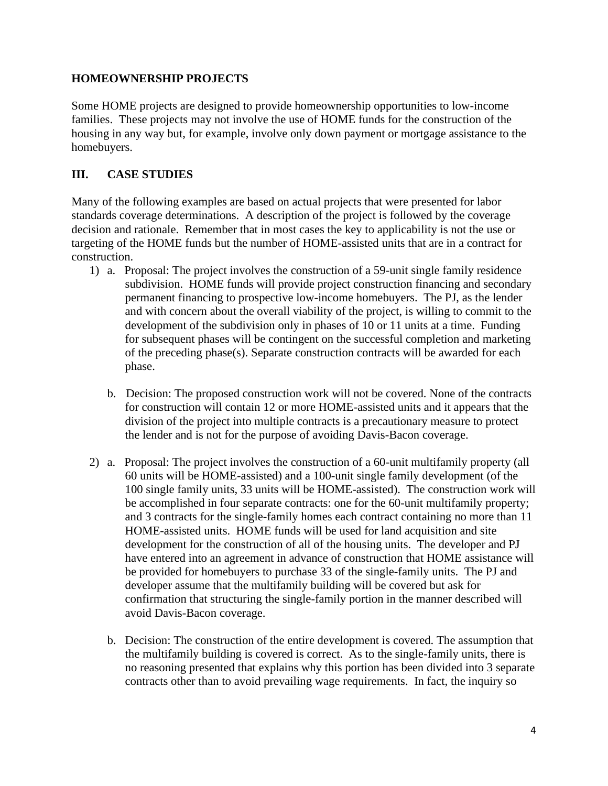### **HOMEOWNERSHIP PROJECTS**

Some HOME projects are designed to provide homeownership opportunities to low-income families. These projects may not involve the use of HOME funds for the construction of the housing in any way but, for example, involve only down payment or mortgage assistance to the homebuyers.

# **III. CASE STUDIES**

Many of the following examples are based on actual projects that were presented for labor standards coverage determinations. A description of the project is followed by the coverage decision and rationale. Remember that in most cases the key to applicability is not the use or targeting of the HOME funds but the number of HOME-assisted units that are in a contract for construction.

- 1) a. Proposal: The project involves the construction of a 59-unit single family residence subdivision. HOME funds will provide project construction financing and secondary permanent financing to prospective low-income homebuyers. The PJ, as the lender and with concern about the overall viability of the project, is willing to commit to the development of the subdivision only in phases of 10 or 11 units at a time. Funding for subsequent phases will be contingent on the successful completion and marketing of the preceding phase(s). Separate construction contracts will be awarded for each phase.
	- b. Decision: The proposed construction work will not be covered. None of the contracts for construction will contain 12 or more HOME-assisted units and it appears that the division of the project into multiple contracts is a precautionary measure to protect the lender and is not for the purpose of avoiding Davis-Bacon coverage.
- 2) a. Proposal: The project involves the construction of a 60-unit multifamily property (all 60 units will be HOME-assisted) and a 100-unit single family development (of the 100 single family units, 33 units will be HOME-assisted). The construction work will be accomplished in four separate contracts: one for the 60-unit multifamily property; and 3 contracts for the single-family homes each contract containing no more than 11 HOME-assisted units. HOME funds will be used for land acquisition and site development for the construction of all of the housing units. The developer and PJ have entered into an agreement in advance of construction that HOME assistance will be provided for homebuyers to purchase 33 of the single-family units. The PJ and developer assume that the multifamily building will be covered but ask for confirmation that structuring the single-family portion in the manner described will avoid Davis-Bacon coverage.
	- b. Decision: The construction of the entire development is covered. The assumption that the multifamily building is covered is correct. As to the single-family units, there is no reasoning presented that explains why this portion has been divided into 3 separate contracts other than to avoid prevailing wage requirements. In fact, the inquiry so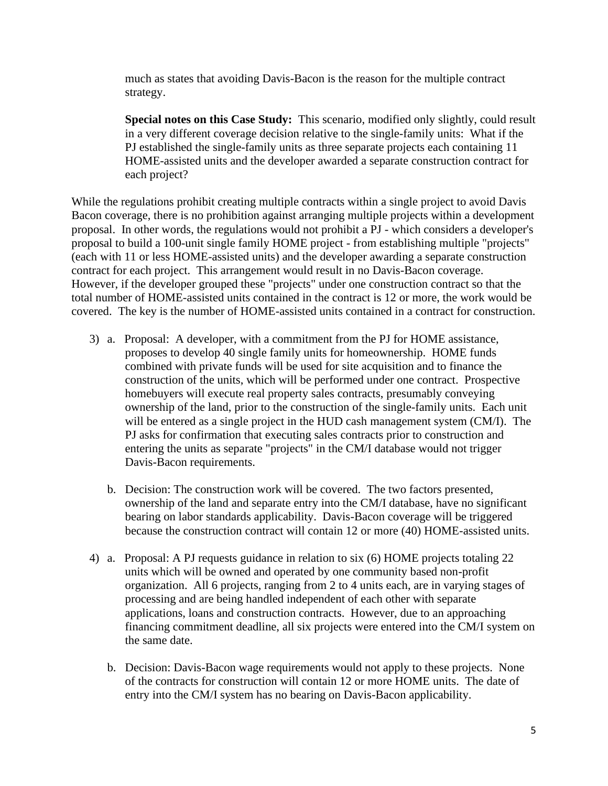much as states that avoiding Davis-Bacon is the reason for the multiple contract strategy.

**Special notes on this Case Study:** This scenario, modified only slightly, could result in a very different coverage decision relative to the single-family units: What if the PJ established the single-family units as three separate projects each containing 11 HOME-assisted units and the developer awarded a separate construction contract for each project?

While the regulations prohibit creating multiple contracts within a single project to avoid Davis Bacon coverage, there is no prohibition against arranging multiple projects within a development proposal. In other words, the regulations would not prohibit a PJ - which considers a developer's proposal to build a 100-unit single family HOME project - from establishing multiple "projects" (each with 11 or less HOME-assisted units) and the developer awarding a separate construction contract for each project. This arrangement would result in no Davis-Bacon coverage. However, if the developer grouped these "projects" under one construction contract so that the total number of HOME-assisted units contained in the contract is 12 or more, the work would be covered. The key is the number of HOME-assisted units contained in a contract for construction.

- 3) a. Proposal: A developer, with a commitment from the PJ for HOME assistance, proposes to develop 40 single family units for homeownership. HOME funds combined with private funds will be used for site acquisition and to finance the construction of the units, which will be performed under one contract. Prospective homebuyers will execute real property sales contracts, presumably conveying ownership of the land, prior to the construction of the single-family units. Each unit will be entered as a single project in the HUD cash management system (CM/I). The PJ asks for confirmation that executing sales contracts prior to construction and entering the units as separate "projects" in the CM/I database would not trigger Davis-Bacon requirements.
	- b. Decision: The construction work will be covered. The two factors presented, ownership of the land and separate entry into the CM/I database, have no significant bearing on labor standards applicability. Davis-Bacon coverage will be triggered because the construction contract will contain 12 or more (40) HOME-assisted units.
- 4) a. Proposal: A PJ requests guidance in relation to six (6) HOME projects totaling 22 units which will be owned and operated by one community based non-profit organization. All 6 projects, ranging from 2 to 4 units each, are in varying stages of processing and are being handled independent of each other with separate applications, loans and construction contracts. However, due to an approaching financing commitment deadline, all six projects were entered into the CM/I system on the same date.
	- b. Decision: Davis-Bacon wage requirements would not apply to these projects. None of the contracts for construction will contain 12 or more HOME units. The date of entry into the CM/I system has no bearing on Davis-Bacon applicability.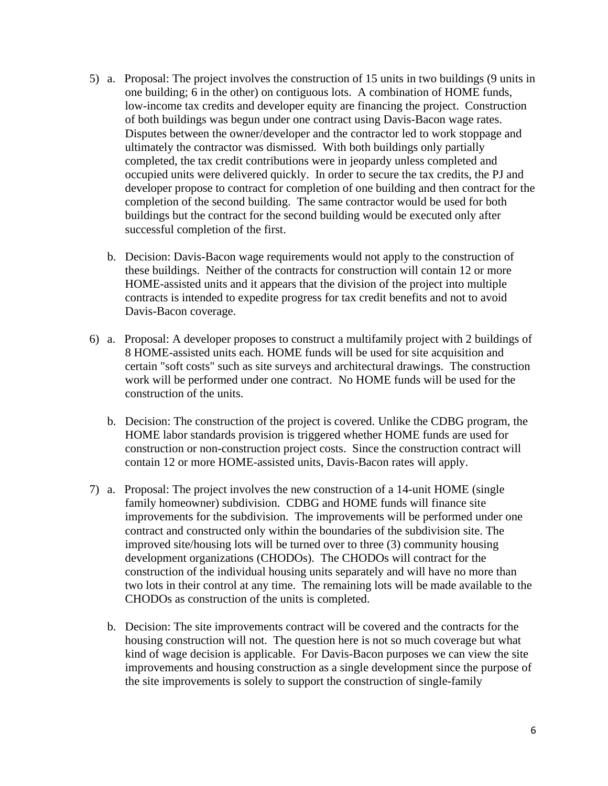- 5) a. Proposal: The project involves the construction of 15 units in two buildings (9 units in one building; 6 in the other) on contiguous lots. A combination of HOME funds, low-income tax credits and developer equity are financing the project. Construction of both buildings was begun under one contract using Davis-Bacon wage rates. Disputes between the owner/developer and the contractor led to work stoppage and ultimately the contractor was dismissed. With both buildings only partially completed, the tax credit contributions were in jeopardy unless completed and occupied units were delivered quickly. In order to secure the tax credits, the PJ and developer propose to contract for completion of one building and then contract for the completion of the second building. The same contractor would be used for both buildings but the contract for the second building would be executed only after successful completion of the first.
	- b. Decision: Davis-Bacon wage requirements would not apply to the construction of these buildings. Neither of the contracts for construction will contain 12 or more HOME-assisted units and it appears that the division of the project into multiple contracts is intended to expedite progress for tax credit benefits and not to avoid Davis-Bacon coverage.
- 6) a. Proposal: A developer proposes to construct a multifamily project with 2 buildings of 8 HOME-assisted units each. HOME funds will be used for site acquisition and certain "soft costs" such as site surveys and architectural drawings. The construction work will be performed under one contract. No HOME funds will be used for the construction of the units.
	- b. Decision: The construction of the project is covered. Unlike the CDBG program, the HOME labor standards provision is triggered whether HOME funds are used for construction or non-construction project costs. Since the construction contract will contain 12 or more HOME-assisted units, Davis-Bacon rates will apply.
- 7) a. Proposal: The project involves the new construction of a 14-unit HOME (single family homeowner) subdivision. CDBG and HOME funds will finance site improvements for the subdivision. The improvements will be performed under one contract and constructed only within the boundaries of the subdivision site. The improved site/housing lots will be turned over to three (3) community housing development organizations (CHODOs). The CHODOs will contract for the construction of the individual housing units separately and will have no more than two lots in their control at any time. The remaining lots will be made available to the CHODOs as construction of the units is completed.
	- b. Decision: The site improvements contract will be covered and the contracts for the housing construction will not. The question here is not so much coverage but what kind of wage decision is applicable. For Davis-Bacon purposes we can view the site improvements and housing construction as a single development since the purpose of the site improvements is solely to support the construction of single-family